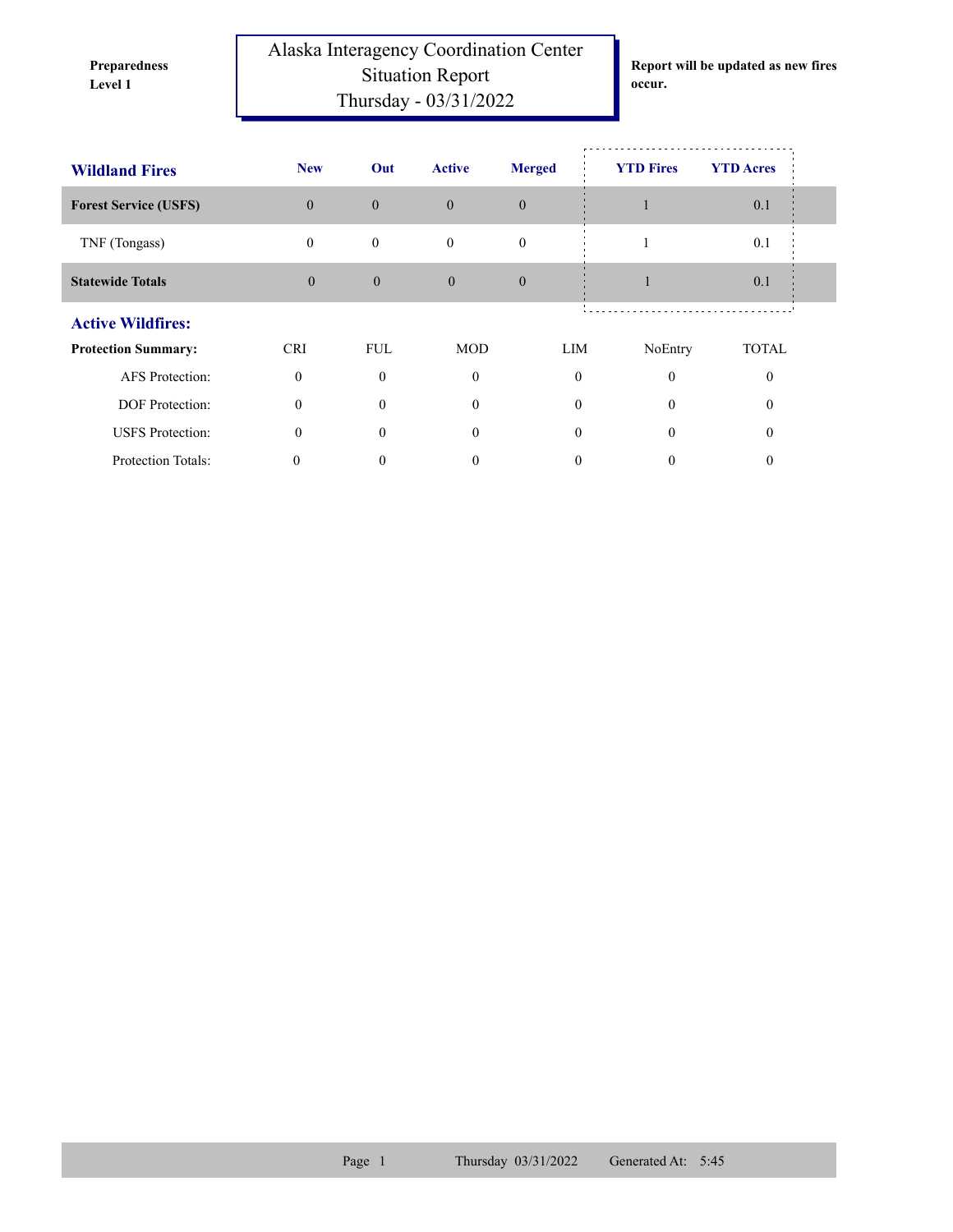**Preparedness** 

Alaska Interagency Coordination Center Situation Report **Level 1 occur.** Thursday - 03/31/2022

**Report will be updated as new fires** 

| <b>Wildland Fires</b>        | <b>New</b>     | Out            | <b>Active</b> | <b>Merged</b> | <b>YTD Fires</b> | <b>YTD</b> Acres |
|------------------------------|----------------|----------------|---------------|---------------|------------------|------------------|
| <b>Forest Service (USFS)</b> | $\overline{0}$ | $\mathbf{0}$   | $\theta$      | $\theta$      |                  | 0.1              |
| TNF (Tongass)                | $\mathbf{0}$   | $\mathbf{0}$   | $\mathbf{0}$  | $\theta$      |                  | 0.1              |
| <b>Statewide Totals</b>      | $\mathbf{0}$   | $\overline{0}$ | $\mathbf{0}$  | $\mathbf{0}$  | ш                | 0.1              |
| <b>Active Wildfires:</b>     |                |                |               |               |                  |                  |
| <b>Protection Summary:</b>   | <b>CRI</b>     | <b>FUL</b>     | <b>MOD</b>    | LIM           | NoEntry          | <b>TOTAL</b>     |
| <b>AFS</b> Protection:       | $\Omega$       | $\mathbf{0}$   | $\mathbf{0}$  | $\mathbf{0}$  | $\theta$         | $\theta$         |
| DOF Protection:              | $\Omega$       | $\theta$       | $\theta$      | $\Omega$      | $\theta$         | $\Omega$         |
| <b>USFS</b> Protection:      | $\theta$       | $\theta$       | $\theta$      | $\theta$      | $\Omega$         | $\Omega$         |
| <b>Protection Totals:</b>    | 0              | 0              | 0             | 0             | 0                | $\theta$         |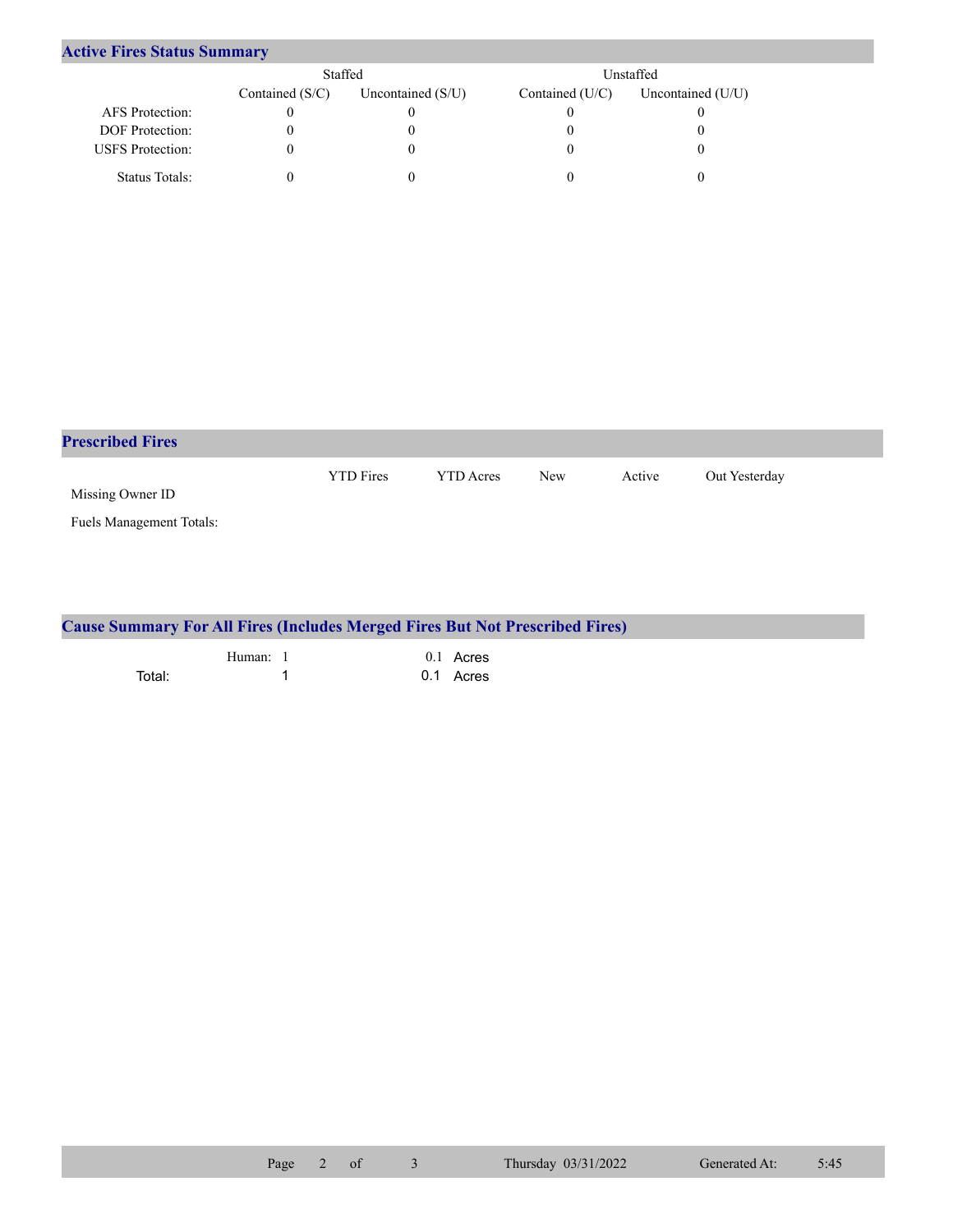## **Active Fires Status Summary**

|                         | Staffed           |                   | Unstaffed         |                   |  |
|-------------------------|-------------------|-------------------|-------------------|-------------------|--|
|                         | Contained $(S/C)$ | Uncontained (S/U) | Contained $(U/C)$ | Uncontained (U/U) |  |
| AFS Protection:         |                   |                   |                   |                   |  |
| <b>DOF</b> Protection:  |                   | U                 |                   |                   |  |
| <b>USFS</b> Protection: |                   | O                 |                   |                   |  |
| Status Totals:          |                   |                   |                   |                   |  |

| <b>Prescribed Fires</b>  |                  |                  |            |        |               |
|--------------------------|------------------|------------------|------------|--------|---------------|
| Missing Owner ID         | <b>YTD</b> Fires | <b>YTD</b> Acres | <b>New</b> | Active | Out Yesterday |
| Fuels Management Totals: |                  |                  |            |        |               |

| <b>Cause Summary For All Fires (Includes Merged Fires But Not Prescribed Fires)</b> |        |  |           |  |  |
|-------------------------------------------------------------------------------------|--------|--|-----------|--|--|
|                                                                                     | Human: |  | 0.1 Acres |  |  |
| Total:                                                                              |        |  | 0.1 Acres |  |  |